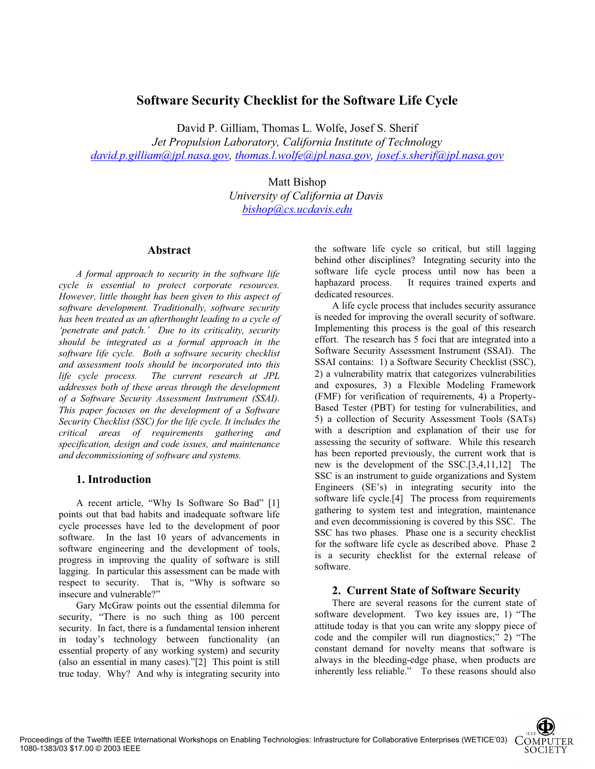# **Software Security Checklist for the Software Life Cycle**

David P. Gilliam, Thomas L. Wolfe, Josef S. Sherif *Jet Propulsion Laboratory, California Institute of Technology david.p.gilliam@jpl.nasa.gov, thomas.l.wolfe@jpl.nasa.gov, josef.s.sherif@jpl.nasa.gov*

> Matt Bishop *University of California at Davis bishop@cs.ucdavis.edu*

## **Abstract**

*A formal approach to security in the software life cycle is essential to protect corporate resources. However, little thought has been given to this aspect of software development. Traditionally, software security has been treated as an afterthought leading to a cycle of 'penetrate and patch.' Due to its criticality, security should be integrated as a formal approach in the software life cycle. Both a software security checklist and assessment tools should be incorporated into this life cycle process. The current research at JPL addresses both of these areas through the development of a Software Security Assessment Instrument (SSAI). This paper focuses on the development of a Software Security Checklist (SSC) for the life cycle. It includes the critical areas of requirements gathering and specification, design and code issues, and maintenance and decommissioning of software and systems.* 

# **1. Introduction**

A recent article, "Why Is Software So Bad" [1] points out that bad habits and inadequate software life cycle processes have led to the development of poor software. In the last 10 years of advancements in software engineering and the development of tools, progress in improving the quality of software is still lagging. In particular this assessment can be made with respect to security. That is, "Why is software so insecure and vulnerable?"

Gary McGraw points out the essential dilemma for security, "There is no such thing as 100 percent security. In fact, there is a fundamental tension inherent in today's technology between functionality (an essential property of any working system) and security (also an essential in many cases)."[2] This point is still true today. Why? And why is integrating security into the software life cycle so critical, but still lagging behind other disciplines? Integrating security into the software life cycle process until now has been a haphazard process. It requires trained experts and dedicated resources.

A life cycle process that includes security assurance is needed for improving the overall security of software. Implementing this process is the goal of this research effort. The research has 5 foci that are integrated into a Software Security Assessment Instrument (SSAI). The SSAI contains: 1) a Software Security Checklist (SSC), 2) a vulnerability matrix that categorizes vulnerabilities and exposures, 3) a Flexible Modeling Framework (FMF) for verification of requirements, 4) a Property-Based Tester (PBT) for testing for vulnerabilities, and 5) a collection of Security Assessment Tools (SATs) with a description and explanation of their use for assessing the security of software. While this research has been reported previously, the current work that is new is the development of the SSC.[3,4,11,12] The SSC is an instrument to guide organizations and System Engineers (SE's) in integrating security into the software life cycle.[4] The process from requirements gathering to system test and integration, maintenance and even decommissioning is covered by this SSC. The SSC has two phases. Phase one is a security checklist for the software life cycle as described above. Phase 2 is a security checklist for the external release of software.

# **2. Current State of Software Security**

There are several reasons for the current state of software development. Two key issues are, 1) "The attitude today is that you can write any sloppy piece of code and the compiler will run diagnostics;" 2) "The constant demand for novelty means that software is always in the bleeding-edge phase, when products are inherently less reliable." To these reasons should also

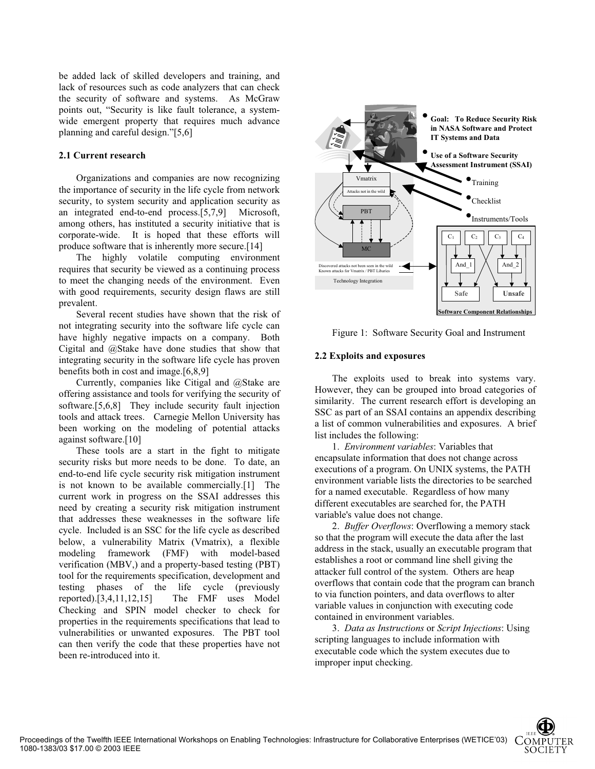be added lack of skilled developers and training, and lack of resources such as code analyzers that can check the security of software and systems. As McGraw points out, "Security is like fault tolerance, a systemwide emergent property that requires much advance planning and careful design."[5,6]

#### **2.1 Current research**

Organizations and companies are now recognizing the importance of security in the life cycle from network security, to system security and application security as an integrated end-to-end process.[5,7,9] Microsoft, among others, has instituted a security initiative that is corporate-wide. It is hoped that these efforts will produce software that is inherently more secure.[14]

The highly volatile computing environment requires that security be viewed as a continuing process to meet the changing needs of the environment. Even with good requirements, security design flaws are still prevalent.

Several recent studies have shown that the risk of not integrating security into the software life cycle can have highly negative impacts on a company. Both Cigital and @Stake have done studies that show that integrating security in the software life cycle has proven benefits both in cost and image.[6,8,9]

Currently, companies like Citigal and @Stake are offering assistance and tools for verifying the security of software.[5,6,8] They include security fault injection tools and attack trees. Carnegie Mellon University has been working on the modeling of potential attacks against software.[10]<br>These tests are a start in the fight to mitigate. These tests wariables: Variables that

These tools are a start in the fight to mitigate security risks but more needs to be done. To date, an end-to-end life cycle security risk mitigation instrument is not known to be available commercially.[1] The current work in progress on the SSAI addresses this need by creating a security risk mitigation instrument that addresses these weaknesses in the software life cycle. Included is an SSC for the life cycle as described below, a vulnerability Matrix (Vmatrix), a flexible modeling framework (FMF) with model-based verification (MBV,) and a property-based testing (PBT) tool for the requirements specification, development and testing phases of the life cycle (previously reported).[3,4,11,12,15] The FMF uses Model Checking and SPIN model checker to check for properties in the requirements specifications that lead to vulnerabilities or unwanted exposures. The PBT tool can then verify the code that these properties have not been re-introduced into it.



Figure 1: Software Security Goal and Instrument

## **2.2 Exploits and exposures**

The exploits used to break into systems vary. However, they can be grouped into broad categories of similarity. The current research effort is developing an SSC as part of an SSAI contains an appendix describing a list of common vulnerabilities and exposures. A brief list includes the following:

encapsulate information that does not change across executions of a program. On UNIX systems, the PATH environment variable lists the directories to be searched for a named executable. Regardless of how many different executables are searched for, the PATH variable's value does not change.

2. *Buffer Overflows*: Overflowing a memory stack so that the program will execute the data after the last address in the stack, usually an executable program that establishes a root or command line shell giving the attacker full control of the system. Others are heap overflows that contain code that the program can branch to via function pointers, and data overflows to alter variable values in conjunction with executing code contained in environment variables.

3. *Data as Instructions* or *Script Injections*: Using scripting languages to include information with executable code which the system executes due to improper input checking.

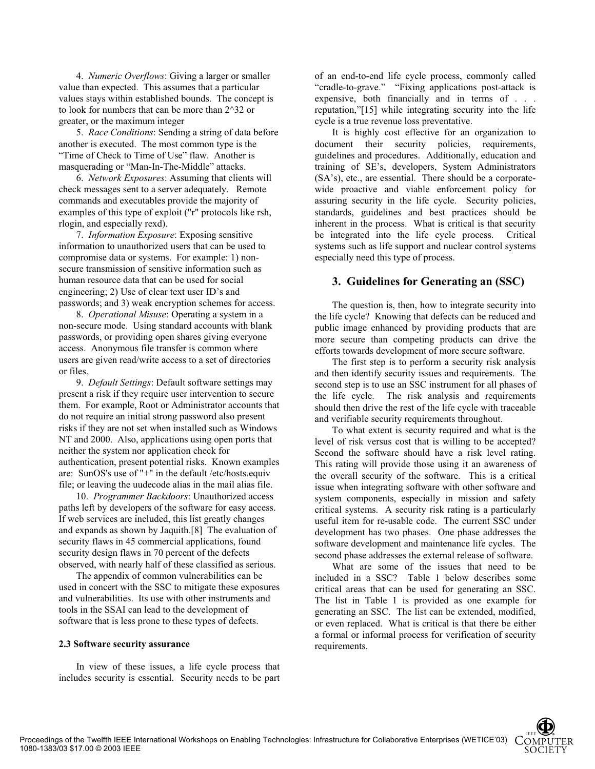4. *Numeric Overflows*: Giving a larger or smaller value than expected. This assumes that a particular values stays within established bounds. The concept is to look for numbers that can be more than 2^32 or greater, or the maximum integer

5. *Race Conditions*: Sending a string of data before another is executed. The most common type is the "Time of Check to Time of Use" flaw. Another is masquerading or "Man-In-The-Middle" attacks.

6. *Network Exposures*: Assuming that clients will check messages sent to a server adequately. Remote commands and executables provide the majority of examples of this type of exploit ("r" protocols like rsh, rlogin, and especially rexd).

7. *Information Exposure*: Exposing sensitive information to unauthorized users that can be used to compromise data or systems. For example: 1) nonsecure transmission of sensitive information such as human resource data that can be used for social engineering; 2) Use of clear text user ID's and passwords; and 3) weak encryption schemes for access.

8. *Operational Misuse*: Operating a system in a non-secure mode. Using standard accounts with blank passwords, or providing open shares giving everyone access. Anonymous file transfer is common where users are given read/write access to a set of directories or files.

9. *Default Settings*: Default software settings may present a risk if they require user intervention to secure them. For example, Root or Administrator accounts that do not require an initial strong password also present risks if they are not set when installed such as Windows NT and 2000. Also, applications using open ports that neither the system nor application check for authentication, present potential risks. Known examples are: SunOS's use of "+" in the default /etc/hosts.equiv file; or leaving the uudecode alias in the mail alias file.

10. *Programmer Backdoors*: Unauthorized access paths left by developers of the software for easy access. If web services are included, this list greatly changes and expands as shown by Jaquith.[8] The evaluation of security flaws in 45 commercial applications, found security design flaws in 70 percent of the defects observed, with nearly half of these classified as serious.

The appendix of common vulnerabilities can be used in concert with the SSC to mitigate these exposures and vulnerabilities. Its use with other instruments and tools in the SSAI can lead to the development of software that is less prone to these types of defects.

#### **2.3 Software security assurance**

In view of these issues, a life cycle process that includes security is essential. Security needs to be part of an end-to-end life cycle process, commonly called "cradle-to-grave." "Fixing applications post-attack is expensive, both financially and in terms of . . . reputation,"[15] while integrating security into the life cycle is a true revenue loss preventative.

It is highly cost effective for an organization to document their security policies, requirements, guidelines and procedures. Additionally, education and training of SE's, developers, System Administrators (SA's), etc., are essential. There should be a corporatewide proactive and viable enforcement policy for assuring security in the life cycle. Security policies, standards, guidelines and best practices should be inherent in the process. What is critical is that security be integrated into the life cycle process. Critical systems such as life support and nuclear control systems especially need this type of process.

#### **3. Guidelines for Generating an (SSC)**

The question is, then, how to integrate security into the life cycle? Knowing that defects can be reduced and public image enhanced by providing products that are more secure than competing products can drive the efforts towards development of more secure software.

The first step is to perform a security risk analysis and then identify security issues and requirements. The second step is to use an SSC instrument for all phases of the life cycle. The risk analysis and requirements should then drive the rest of the life cycle with traceable and verifiable security requirements throughout.

To what extent is security required and what is the level of risk versus cost that is willing to be accepted? Second the software should have a risk level rating. This rating will provide those using it an awareness of the overall security of the software. This is a critical issue when integrating software with other software and system components, especially in mission and safety critical systems. A security risk rating is a particularly useful item for re-usable code. The current SSC under development has two phases. One phase addresses the software development and maintenance life cycles. The second phase addresses the external release of software.

What are some of the issues that need to be included in a SSC? Table 1 below describes some critical areas that can be used for generating an SSC. The list in Table 1 is provided as one example for generating an SSC. The list can be extended, modified, or even replaced. What is critical is that there be either a formal or informal process for verification of security requirements.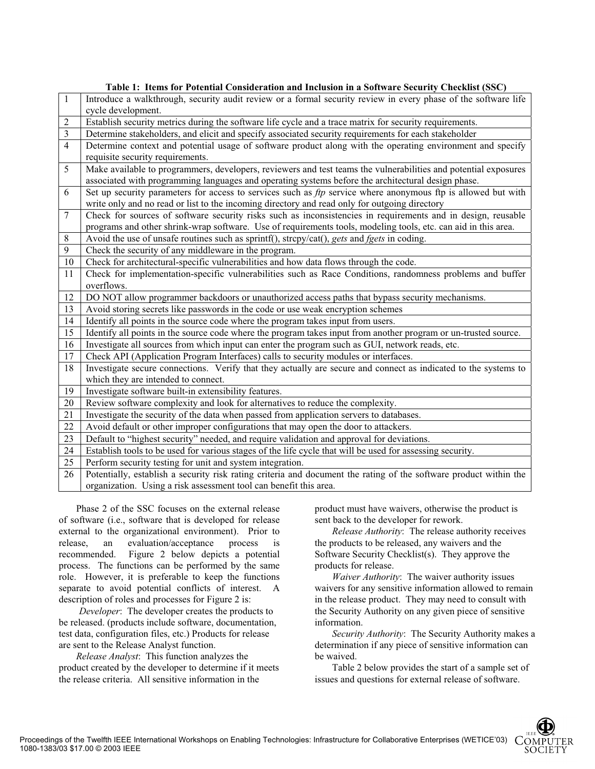|                | Table 11 Tienis for 1 otential Consideration and Inclusion in a Software Security Cheekinst (SSC)                    |
|----------------|----------------------------------------------------------------------------------------------------------------------|
| $\mathbf{1}$   | Introduce a walkthrough, security audit review or a formal security review in every phase of the software life       |
|                | cycle development.                                                                                                   |
| $\overline{c}$ | Establish security metrics during the software life cycle and a trace matrix for security requirements.              |
| 3              | Determine stakeholders, and elicit and specify associated security requirements for each stakeholder                 |
| $\overline{4}$ | Determine context and potential usage of software product along with the operating environment and specify           |
|                | requisite security requirements.                                                                                     |
| 5              | Make available to programmers, developers, reviewers and test teams the vulnerabilities and potential exposures      |
|                | associated with programming languages and operating systems before the architectural design phase.                   |
| 6              | Set up security parameters for access to services such as <i>ftp</i> service where anonymous ftp is allowed but with |
|                | write only and no read or list to the incoming directory and read only for outgoing directory                        |
| $\tau$         | Check for sources of software security risks such as inconsistencies in requirements and in design, reusable         |
|                | programs and other shrink-wrap software. Use of requirements tools, modeling tools, etc. can aid in this area.       |
| $\,8\,$        | Avoid the use of unsafe routines such as sprintf(), strcpy/cat(), gets and fgets in coding.                          |
| 9              | Check the security of any middleware in the program.                                                                 |
| $10\,$         | Check for architectural-specific vulnerabilities and how data flows through the code.                                |
| 11             | Check for implementation-specific vulnerabilities such as Race Conditions, randomness problems and buffer            |
|                | overflows.                                                                                                           |
| 12             | DO NOT allow programmer backdoors or unauthorized access paths that bypass security mechanisms.                      |
| 13             | Avoid storing secrets like passwords in the code or use weak encryption schemes                                      |
| 14             | Identify all points in the source code where the program takes input from users.                                     |
| 15             | Identify all points in the source code where the program takes input from another program or un-trusted source.      |
| 16             | Investigate all sources from which input can enter the program such as GUI, network reads, etc.                      |
| 17             | Check API (Application Program Interfaces) calls to security modules or interfaces.                                  |
| 18             | Investigate secure connections. Verify that they actually are secure and connect as indicated to the systems to      |
|                | which they are intended to connect.                                                                                  |
| 19             | Investigate software built-in extensibility features.                                                                |
| 20             | Review software complexity and look for alternatives to reduce the complexity.                                       |
| 21             | Investigate the security of the data when passed from application servers to databases.                              |
| 22             | Avoid default or other improper configurations that may open the door to attackers.                                  |
| 23             | Default to "highest security" needed, and require validation and approval for deviations.                            |
| 24             | Establish tools to be used for various stages of the life cycle that will be used for assessing security.            |
| 25             | Perform security testing for unit and system integration.                                                            |
| 26             | Potentially, establish a security risk rating criteria and document the rating of the software product within the    |
|                | organization. Using a risk assessment tool can benefit this area.                                                    |

**Table 1: Items for Potential Consideration and Inclusion in a Software Security Checklist (SSC)**

Phase 2 of the SSC focuses on the external release of software (i.e., software that is developed for release external to the organizational environment). Prior to release, an evaluation/acceptance process is recommended. Figure 2 below depicts a potential process. The functions can be performed by the same role. However, it is preferable to keep the functions separate to avoid potential conflicts of interest. A description of roles and processes for Figure 2 is:

*Developer*: The developer creates the products to be released. (products include software, documentation, test data, configuration files, etc.) Products for release are sent to the Release Analyst function.

*Release Analyst*: This function analyzes the product created by the developer to determine if it meets the release criteria. All sensitive information in the

product must have waivers, otherwise the product is sent back to the developer for rework.

*Release Authority*: The release authority receives the products to be released, any waivers and the Software Security Checklist(s). They approve the products for release.

*Waiver Authority*: The waiver authority issues waivers for any sensitive information allowed to remain in the release product. They may need to consult with the Security Authority on any given piece of sensitive information.

*Security Authority*: The Security Authority makes a determination if any piece of sensitive information can be waived.

Table 2 below provides the start of a sample set of issues and questions for external release of software.

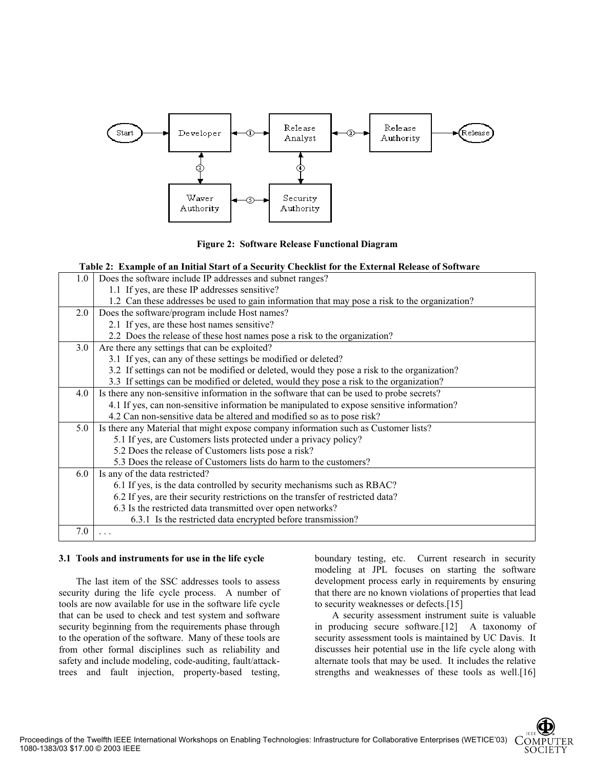



#### **Table 2: Example of an Initial Start of a Security Checklist for the External Release of Software**

| 1.0 | a Barmpic of ru finant start of a security encember of the Battlemar referred of Soft<br>Does the software include IP addresses and subnet ranges? |
|-----|----------------------------------------------------------------------------------------------------------------------------------------------------|
|     | 1.1 If yes, are these IP addresses sensitive?                                                                                                      |
|     | 1.2 Can these addresses be used to gain information that may pose a risk to the organization?                                                      |
| 2.0 | Does the software/program include Host names?                                                                                                      |
|     | 2.1 If yes, are these host names sensitive?                                                                                                        |
|     | 2.2 Does the release of these host names pose a risk to the organization?                                                                          |
| 3.0 | Are there any settings that can be exploited?                                                                                                      |
|     | 3.1 If yes, can any of these settings be modified or deleted?                                                                                      |
|     | 3.2 If settings can not be modified or deleted, would they pose a risk to the organization?                                                        |
|     | 3.3 If settings can be modified or deleted, would they pose a risk to the organization?                                                            |
| 4.0 | Is there any non-sensitive information in the software that can be used to probe secrets?                                                          |
|     | 4.1 If yes, can non-sensitive information be manipulated to expose sensitive information?                                                          |
|     | 4.2 Can non-sensitive data be altered and modified so as to pose risk?                                                                             |
| 5.0 | Is there any Material that might expose company information such as Customer lists?                                                                |
|     | 5.1 If yes, are Customers lists protected under a privacy policy?                                                                                  |
|     | 5.2 Does the release of Customers lists pose a risk?                                                                                               |
|     | 5.3 Does the release of Customers lists do harm to the customers?                                                                                  |
| 6.0 | Is any of the data restricted?                                                                                                                     |
|     | 6.1 If yes, is the data controlled by security mechanisms such as RBAC?                                                                            |
|     | 6.2 If yes, are their security restrictions on the transfer of restricted data?                                                                    |
|     | 6.3 Is the restricted data transmitted over open networks?                                                                                         |
|     | 6.3.1 Is the restricted data encrypted before transmission?                                                                                        |
| 7.0 | .                                                                                                                                                  |

#### **3.1 Tools and instruments for use in the life cycle**

The last item of the SSC addresses tools to assess security during the life cycle process. A number of tools are now available for use in the software life cycle that can be used to check and test system and software security beginning from the requirements phase through to the operation of the software. Many of these tools are from other formal disciplines such as reliability and safety and include modeling, code-auditing, fault/attacktrees and fault injection, property-based testing, boundary testing, etc. Current research in security modeling at JPL focuses on starting the software development process early in requirements by ensuring that there are no known violations of properties that lead to security weaknesses or defects.[15]

A security assessment instrument suite is valuable in producing secure software.[12] A taxonomy of security assessment tools is maintained by UC Davis. It discusses heir potential use in the life cycle along with alternate tools that may be used. It includes the relative strengths and weaknesses of these tools as well.[16]